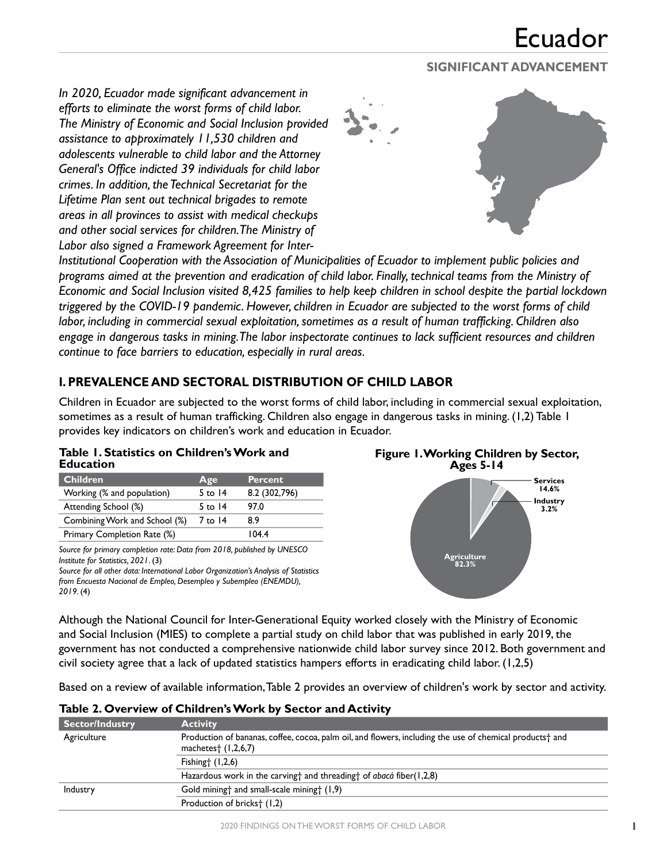## **SIGNIFICANT ADVANCEMENT**

*In 2020, Ecuador made significant advancement in efforts to eliminate the worst forms of child labor. The Ministry of Economic and Social Inclusion provided assistance to approximately 11,530 children and adolescents vulnerable to child labor and the Attorney General's Office indicted 39 individuals for child labor crimes. In addition, the Technical Secretariat for the Lifetime Plan sent out technical brigades to remote areas in all provinces to assist with medical checkups and other social services for children. The Ministry of Labor also signed a Framework Agreement for Inter-*



*Institutional Cooperation with the Association of Municipalities of Ecuador to implement public policies and programs aimed at the prevention and eradication of child labor. Finally, technical teams from the Ministry of Economic and Social Inclusion visited 8,425 families to help keep children in school despite the partial lockdown triggered by the COVID-19 pandemic. However, children in Ecuador are subjected to the worst forms of child labor, including in commercial sexual exploitation, sometimes as a result of human trafficking. Children also engage in dangerous tasks in mining. The labor inspectorate continues to lack sufficient resources and children continue to face barriers to education, especially in rural areas.*

## **I. PREVALENCE AND SECTORAL DISTRIBUTION OF CHILD LABOR**

Children in Ecuador are subjected to the worst forms of child labor, including in commercial sexual exploitation, sometimes as a result of human trafficking. Children also engage in dangerous tasks in mining. (1,2) Table 1 provides key indicators on children's work and education in Ecuador.

|                  | Table 1. Statistics on Children's Work and |
|------------------|--------------------------------------------|
| <b>Education</b> |                                            |

| <b>Children</b>               | Age       | <b>Percent</b> |
|-------------------------------|-----------|----------------|
| Working (% and population)    | 5 to $14$ | 8.2 (302,796)  |
| Attending School (%)          | 5 to $14$ | 97.0           |
| Combining Work and School (%) | 7 to 14   | 8.9            |
| Primary Completion Rate (%)   |           | 104.4          |

*Source for primary completion rate: Data from 2018, published by UNESCO Institute for Statistics, 2021*. (3)

*Source for all other data: International Labor Organization's Analysis of Statistics from Encuesta Nacional de Empleo, Desempleo y Subempleo (ENEMDU), 2019.* (4)





Although the National Council for Inter-Generational Equity worked closely with the Ministry of Economic and Social Inclusion (MIES) to complete a partial study on child labor that was published in early 2019, the government has not conducted a comprehensive nationwide child labor survey since 2012. Both government and civil society agree that a lack of updated statistics hampers efforts in eradicating child labor. (1,2,5)

Based on a review of available information, Table 2 provides an overview of children's work by sector and activity.

| <b>Sector/Industry</b> | <b>Activity</b>                                                                                                                                                            |
|------------------------|----------------------------------------------------------------------------------------------------------------------------------------------------------------------------|
| Agriculture            | Production of bananas, coffee, cocoa, palm oil, and flowers, including the use of chemical products <sup>+</sup> and<br>machetes <sup><math>\dagger</math></sup> (1,2,6,7) |
|                        | Fishing $(1,2,6)$                                                                                                                                                          |
|                        | Hazardous work in the carving and threading to f abaca fiber (1,2,8)                                                                                                       |
| Industry               | Gold mining and small-scale mining (1,9)                                                                                                                                   |
|                        | Production of bricks <sup>+</sup> (1,2)                                                                                                                                    |

#### **Table 2. Overview of Children's Work by Sector and Activity**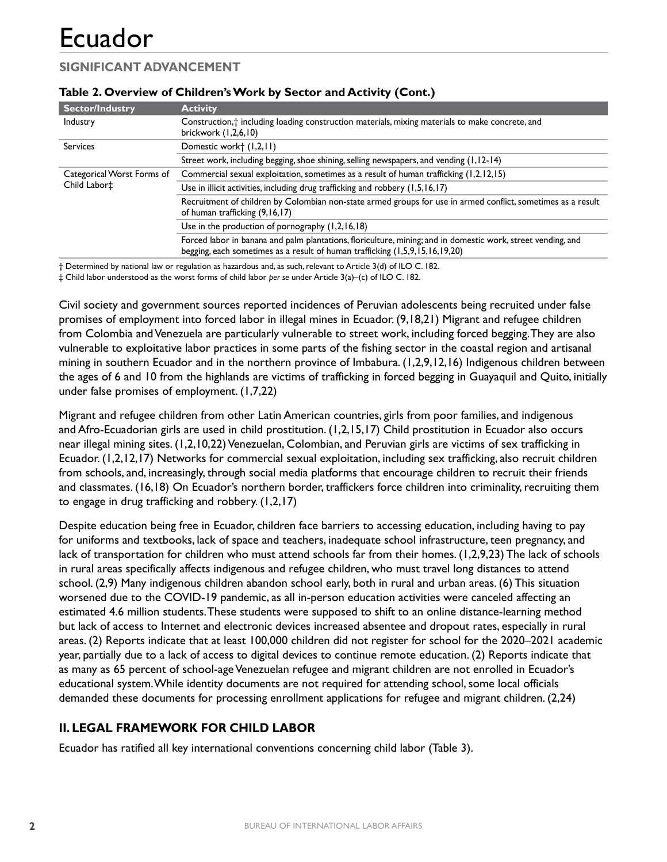## **SIGNIFICANT ADVANCEMENT**

| <b>Sector/Industry</b>                     | <b>Activity</b>                                                                                                                                                                              |
|--------------------------------------------|----------------------------------------------------------------------------------------------------------------------------------------------------------------------------------------------|
| Industry                                   | Construction, <sup>+</sup> including loading construction materials, mixing materials to make concrete, and<br>brickwork (1,2,6,10)                                                          |
| <b>Services</b>                            | Domestic work† (1,2,11)                                                                                                                                                                      |
|                                            | Street work, including begging, shoe shining, selling newspapers, and vending (1,12-14)                                                                                                      |
| Categorical Worst Forms of<br>Child Labor‡ | Commercial sexual exploitation, sometimes as a result of human trafficking (1,2,12,15)                                                                                                       |
|                                            | Use in illicit activities, including drug trafficking and robbery (1,5,16,17)                                                                                                                |
|                                            | Recruitment of children by Colombian non-state armed groups for use in armed conflict, sometimes as a result<br>of human trafficking (9,16,17)                                               |
|                                            | Use in the production of pornography $(1,2,16,18)$                                                                                                                                           |
|                                            | Forced labor in banana and palm plantations, floriculture, mining; and in domestic work, street vending, and<br>begging, each sometimes as a result of human trafficking (1,5,9,15,16,19,20) |

### **Table 2. Overview of Children's Work by Sector and Activity (Cont.)**

† Determined by national law or regulation as hazardous and, as such, relevant to Article 3(d) of ILO C. 182. ‡ Child labor understood as the worst forms of child labor *per se* under Article 3(a)–(c) of ILO C. 182.

Civil society and government sources reported incidences of Peruvian adolescents being recruited under false promises of employment into forced labor in illegal mines in Ecuador. (9,18,21) Migrant and refugee children from Colombia and Venezuela are particularly vulnerable to street work, including forced begging. They are also vulnerable to exploitative labor practices in some parts of the fishing sector in the coastal region and artisanal mining in southern Ecuador and in the northern province of Imbabura. (1,2,9,12,16) Indigenous children between the ages of 6 and 10 from the highlands are victims of trafficking in forced begging in Guayaquil and Quito, initially under false promises of employment. (1,7,22)

Migrant and refugee children from other Latin American countries, girls from poor families, and indigenous and Afro-Ecuadorian girls are used in child prostitution. (1,2,15,17) Child prostitution in Ecuador also occurs near illegal mining sites. (1,2,10,22) Venezuelan, Colombian, and Peruvian girls are victims of sex trafficking in Ecuador. (1,2,12,17) Networks for commercial sexual exploitation, including sex trafficking, also recruit children from schools, and, increasingly, through social media platforms that encourage children to recruit their friends and classmates. (16,18) On Ecuador's northern border, traffickers force children into criminality, recruiting them to engage in drug trafficking and robbery. (1,2,17)

Despite education being free in Ecuador, children face barriers to accessing education, including having to pay for uniforms and textbooks, lack of space and teachers, inadequate school infrastructure, teen pregnancy, and lack of transportation for children who must attend schools far from their homes. (1,2,9,23) The lack of schools in rural areas specifically affects indigenous and refugee children, who must travel long distances to attend school. (2,9) Many indigenous children abandon school early, both in rural and urban areas. (6) This situation worsened due to the COVID-19 pandemic, as all in-person education activities were canceled affecting an estimated 4.6 million students. These students were supposed to shift to an online distance-learning method but lack of access to Internet and electronic devices increased absentee and dropout rates, especially in rural areas. (2) Reports indicate that at least 100,000 children did not register for school for the 2020–2021 academic year, partially due to a lack of access to digital devices to continue remote education. (2) Reports indicate that as many as 65 percent of school-age Venezuelan refugee and migrant children are not enrolled in Ecuador's educational system. While identity documents are not required for attending school, some local officials demanded these documents for processing enrollment applications for refugee and migrant children. (2,24)

## **II. LEGAL FRAMEWORK FOR CHILD LABOR**

Ecuador has ratified all key international conventions concerning child labor (Table 3).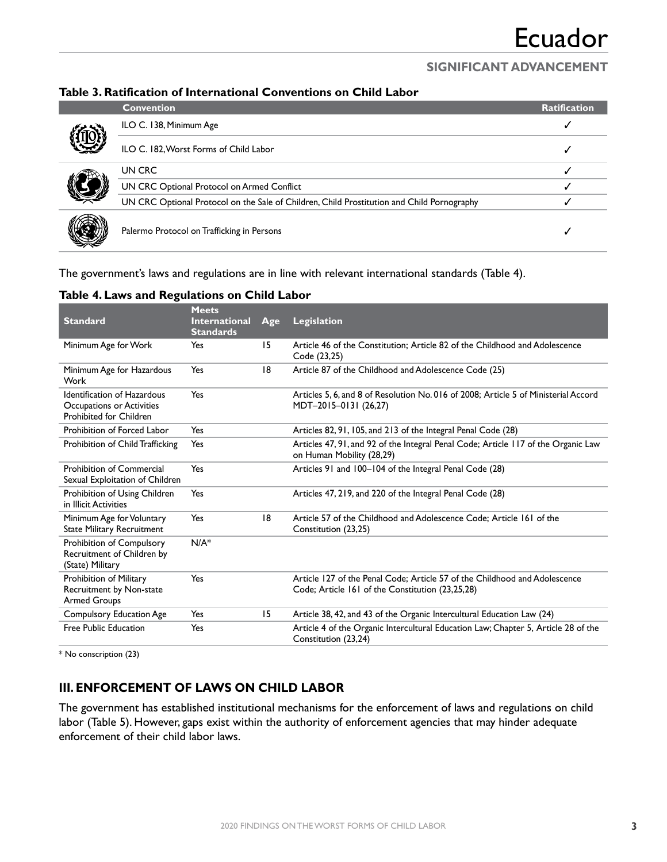### **SIGNIFICANT ADVANCEMENT**

### **Table 3. Ratification of International Conventions on Child Labor**

|  | <b>Convention</b>                                                                          | <b>Ratification</b> |
|--|--------------------------------------------------------------------------------------------|---------------------|
|  | ILO C. 138, Minimum Age                                                                    |                     |
|  | ILO C. 182, Worst Forms of Child Labor                                                     |                     |
|  | UN CRC                                                                                     |                     |
|  | UN CRC Optional Protocol on Armed Conflict                                                 |                     |
|  | UN CRC Optional Protocol on the Sale of Children, Child Prostitution and Child Pornography |                     |
|  | Palermo Protocol on Trafficking in Persons                                                 |                     |

The government's laws and regulations are in line with relevant international standards (Table 4).

| <b>Standard</b>                                                                            | <b>Meets</b><br><b>International</b><br><b>Standards</b> | Age | Legislation                                                                                                                    |
|--------------------------------------------------------------------------------------------|----------------------------------------------------------|-----|--------------------------------------------------------------------------------------------------------------------------------|
| Minimum Age for Work                                                                       | Yes                                                      | 15  | Article 46 of the Constitution; Article 82 of the Childhood and Adolescence<br>Code (23,25)                                    |
| Minimum Age for Hazardous<br>Work                                                          | Yes                                                      | 18  | Article 87 of the Childhood and Adolescence Code (25)                                                                          |
| Identification of Hazardous<br>Occupations or Activities<br><b>Prohibited for Children</b> | Yes                                                      |     | Articles 5, 6, and 8 of Resolution No. 016 of 2008; Article 5 of Ministerial Accord<br>MDT-2015-0131 (26,27)                   |
| Prohibition of Forced Labor                                                                | Yes                                                      |     | Articles 82, 91, 105, and 213 of the Integral Penal Code (28)                                                                  |
| Prohibition of Child Trafficking                                                           | Yes                                                      |     | Articles 47, 91, and 92 of the Integral Penal Code; Article 117 of the Organic Law<br>on Human Mobility (28,29)                |
| Prohibition of Commercial<br>Sexual Exploitation of Children                               | Yes                                                      |     | Articles 91 and 100-104 of the Integral Penal Code (28)                                                                        |
| Prohibition of Using Children<br>in Illicit Activities                                     | Yes                                                      |     | Articles 47, 219, and 220 of the Integral Penal Code (28)                                                                      |
| Minimum Age for Voluntary<br><b>State Military Recruitment</b>                             | Yes                                                      | 18  | Article 57 of the Childhood and Adolescence Code; Article 161 of the<br>Constitution (23,25)                                   |
| Prohibition of Compulsory<br>Recruitment of Children by<br>(State) Military                | $N/A^*$                                                  |     |                                                                                                                                |
| Prohibition of Military<br>Recruitment by Non-state<br><b>Armed Groups</b>                 | Yes                                                      |     | Article 127 of the Penal Code; Article 57 of the Childhood and Adolescence<br>Code; Article 161 of the Constitution (23,25,28) |
| <b>Compulsory Education Age</b>                                                            | Yes                                                      | 15  | Article 38, 42, and 43 of the Organic Intercultural Education Law (24)                                                         |
| Free Public Education                                                                      | Yes                                                      |     | Article 4 of the Organic Intercultural Education Law; Chapter 5, Article 28 of the<br>Constitution (23,24)                     |

#### **Table 4. Laws and Regulations on Child Labor**

\* No conscription (23)

### **III. ENFORCEMENT OF LAWS ON CHILD LABOR**

The government has established institutional mechanisms for the enforcement of laws and regulations on child labor (Table 5). However, gaps exist within the authority of enforcement agencies that may hinder adequate enforcement of their child labor laws.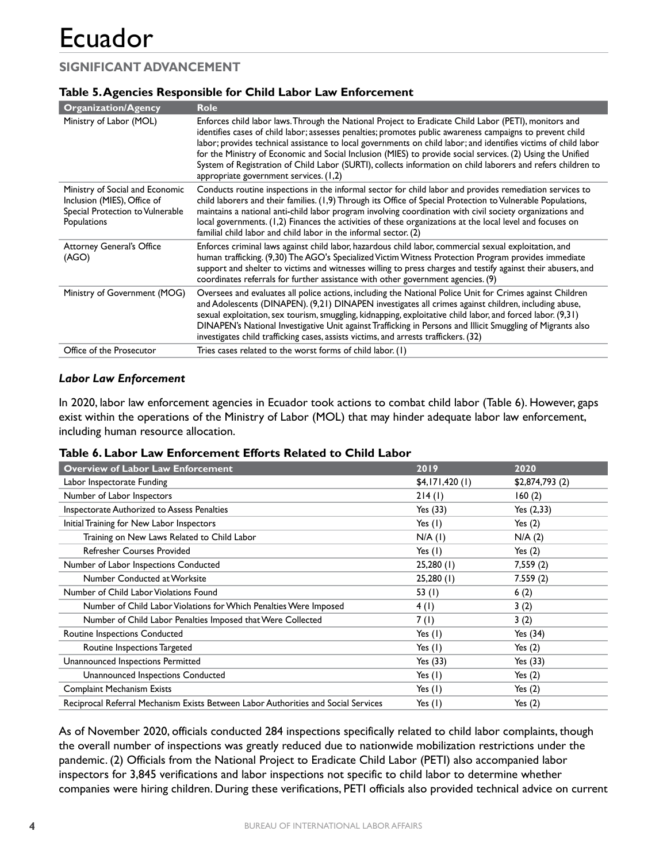## **SIGNIFICANT ADVANCEMENT**

### **Table 5. Agencies Responsible for Child Labor Law Enforcement**

| <b>Organization/Agency</b>                                                                                        | <b>Role</b>                                                                                                                                                                                                                                                                                                                                                                                                                                                                                                                                                                                                   |
|-------------------------------------------------------------------------------------------------------------------|---------------------------------------------------------------------------------------------------------------------------------------------------------------------------------------------------------------------------------------------------------------------------------------------------------------------------------------------------------------------------------------------------------------------------------------------------------------------------------------------------------------------------------------------------------------------------------------------------------------|
| Ministry of Labor (MOL)                                                                                           | Enforces child labor laws. Through the National Project to Eradicate Child Labor (PETI), monitors and<br>identifies cases of child labor; assesses penalties; promotes public awareness campaigns to prevent child<br>labor; provides technical assistance to local governments on child labor; and identifies victims of child labor<br>for the Ministry of Economic and Social Inclusion (MIES) to provide social services. (2) Using the Unified<br>System of Registration of Child Labor (SURTI), collects information on child laborers and refers children to<br>appropriate government services. (1,2) |
| Ministry of Social and Economic<br>Inclusion (MIES), Office of<br>Special Protection to Vulnerable<br>Populations | Conducts routine inspections in the informal sector for child labor and provides remediation services to<br>child laborers and their families. (1,9) Through its Office of Special Protection to Vulnerable Populations,<br>maintains a national anti-child labor program involving coordination with civil society organizations and<br>local governments. (1,2) Finances the activities of these organizations at the local level and focuses on<br>familial child labor and child labor in the informal sector. (2)                                                                                        |
| <b>Attorney General's Office</b><br>(AGO)                                                                         | Enforces criminal laws against child labor, hazardous child labor, commercial sexual exploitation, and<br>human trafficking. (9,30) The AGO's Specialized Victim Witness Protection Program provides immediate<br>support and shelter to victims and witnesses willing to press charges and testify against their abusers, and<br>coordinates referrals for further assistance with other government agencies. (9)                                                                                                                                                                                            |
| Ministry of Government (MOG)                                                                                      | Oversees and evaluates all police actions, including the National Police Unit for Crimes against Children<br>and Adolescents (DINAPEN). (9,21) DINAPEN investigates all crimes against children, including abuse,<br>sexual exploitation, sex tourism, smuggling, kidnapping, exploitative child labor, and forced labor. (9,31)<br>DINAPEN's National Investigative Unit against Trafficking in Persons and Illicit Smuggling of Migrants also<br>investigates child trafficking cases, assists victims, and arrests traffickers. (32)                                                                       |
| Office of the Prosecutor                                                                                          | Tries cases related to the worst forms of child labor. (1)                                                                                                                                                                                                                                                                                                                                                                                                                                                                                                                                                    |

#### *Labor Law Enforcement*

In 2020, labor law enforcement agencies in Ecuador took actions to combat child labor (Table 6). However, gaps exist within the operations of the Ministry of Labor (MOL) that may hinder adequate labor law enforcement, including human resource allocation.

| <b>Overview of Labor Law Enforcement</b>                                           | 2019           | 2020           |  |
|------------------------------------------------------------------------------------|----------------|----------------|--|
| Labor Inspectorate Funding                                                         | \$4,171,420(1) | \$2,874,793(2) |  |
| Number of Labor Inspectors                                                         | 214(1)         | 160(2)         |  |
| Inspectorate Authorized to Assess Penalties                                        | Yes (33)       | Yes $(2,33)$   |  |
| Initial Training for New Labor Inspectors                                          | Yes $(1)$      | Yes $(2)$      |  |
| Training on New Laws Related to Child Labor                                        | $N/A$ (I)      | N/A(2)         |  |
| <b>Refresher Courses Provided</b>                                                  | Yes $(1)$      | Yes $(2)$      |  |
| Number of Labor Inspections Conducted                                              | 25,280(1)      | 7,559(2)       |  |
| Number Conducted at Worksite                                                       | 25,280(1)      | 7.559(2)       |  |
| Number of Child Labor Violations Found                                             | 53 $(1)$       | 6(2)           |  |
| Number of Child Labor Violations for Which Penalties Were Imposed                  | 4(1)           | 3(2)           |  |
| Number of Child Labor Penalties Imposed that Were Collected                        | 7(1)           | 3(2)           |  |
| Routine Inspections Conducted                                                      | Yes $(1)$      | Yes (34)       |  |
| Routine Inspections Targeted                                                       | Yes $(1)$      | Yes $(2)$      |  |
| Unannounced Inspections Permitted                                                  | Yes (33)       | Yes (33)       |  |
| Unannounced Inspections Conducted                                                  | Yes $(1)$      | Yes $(2)$      |  |
| <b>Complaint Mechanism Exists</b>                                                  | Yes $(1)$      | Yes $(2)$      |  |
| Reciprocal Referral Mechanism Exists Between Labor Authorities and Social Services | Yes (1)        | Yes $(2)$      |  |

#### **Table 6. Labor Law Enforcement Efforts Related to Child Labor**

As of November 2020, officials conducted 284 inspections specifically related to child labor complaints, though the overall number of inspections was greatly reduced due to nationwide mobilization restrictions under the pandemic. (2) Officials from the National Project to Eradicate Child Labor (PETI) also accompanied labor inspectors for 3,845 verifications and labor inspections not specific to child labor to determine whether companies were hiring children. During these verifications, PETI officials also provided technical advice on current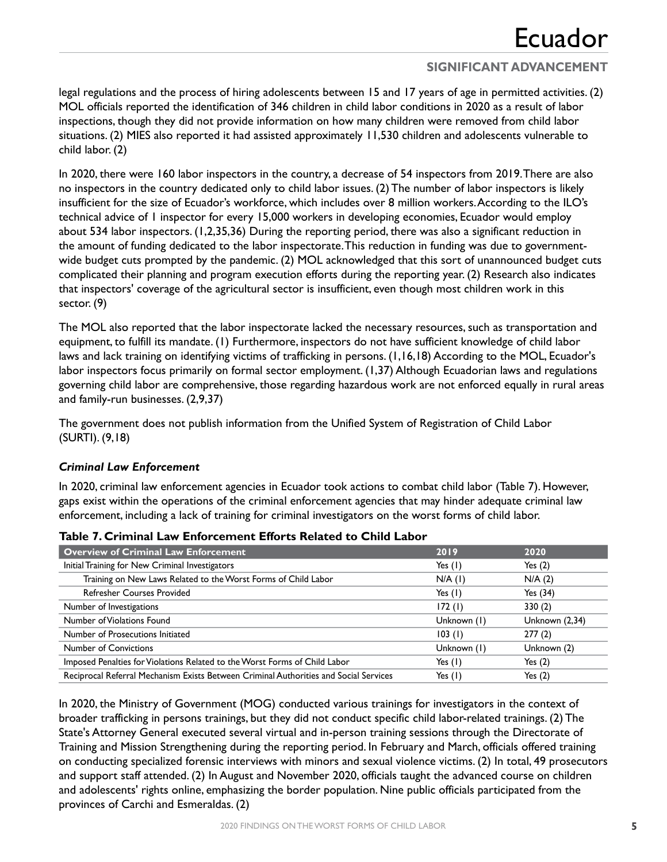## **SIGNIFICANT ADVANCEMENT**

legal regulations and the process of hiring adolescents between 15 and 17 years of age in permitted activities. (2) MOL officials reported the identification of 346 children in child labor conditions in 2020 as a result of labor inspections, though they did not provide information on how many children were removed from child labor situations. (2) MIES also reported it had assisted approximately 11,530 children and adolescents vulnerable to child labor. (2)

In 2020, there were 160 labor inspectors in the country, a decrease of 54 inspectors from 2019. There are also no inspectors in the country dedicated only to child labor issues. (2) The number of labor inspectors is likely insufficient for the size of Ecuador's workforce, which includes over 8 million workers. According to the ILO's technical advice of 1 inspector for every 15,000 workers in developing economies, Ecuador would employ about 534 labor inspectors. (1,2,35,36) During the reporting period, there was also a significant reduction in the amount of funding dedicated to the labor inspectorate. This reduction in funding was due to governmentwide budget cuts prompted by the pandemic. (2) MOL acknowledged that this sort of unannounced budget cuts complicated their planning and program execution efforts during the reporting year. (2) Research also indicates that inspectors' coverage of the agricultural sector is insufficient, even though most children work in this sector. (9)

The MOL also reported that the labor inspectorate lacked the necessary resources, such as transportation and equipment, to fulfill its mandate. (1) Furthermore, inspectors do not have sufficient knowledge of child labor laws and lack training on identifying victims of trafficking in persons. (1,16,18) According to the MOL, Ecuador's labor inspectors focus primarily on formal sector employment. (1,37) Although Ecuadorian laws and regulations governing child labor are comprehensive, those regarding hazardous work are not enforced equally in rural areas and family-run businesses. (2,9,37)

The government does not publish information from the Unified System of Registration of Child Labor (SURTI). (9,18)

### *Criminal Law Enforcement*

In 2020, criminal law enforcement agencies in Ecuador took actions to combat child labor (Table 7). However, gaps exist within the operations of the criminal enforcement agencies that may hinder adequate criminal law enforcement, including a lack of training for criminal investigators on the worst forms of child labor.

| <b>Overview of Criminal Law Enforcement</b>                                           | 2019        | 2020           |
|---------------------------------------------------------------------------------------|-------------|----------------|
| Initial Training for New Criminal Investigators                                       | Yes $(1)$   | Yes $(2)$      |
| Training on New Laws Related to the Worst Forms of Child Labor                        | $N/A$ (1)   | N/A(2)         |
| <b>Refresher Courses Provided</b>                                                     | Yes $(1)$   | Yes $(34)$     |
| Number of Investigations                                                              | 172(1)      | 330(2)         |
| Number of Violations Found                                                            | Unknown (1) | Unknown (2,34) |
| Number of Prosecutions Initiated                                                      | 103(1)      | 277(2)         |
| <b>Number of Convictions</b>                                                          | Unknown (1) | Unknown (2)    |
| Imposed Penalties for Violations Related to the Worst Forms of Child Labor            | Yes $(1)$   | Yes $(2)$      |
| Reciprocal Referral Mechanism Exists Between Criminal Authorities and Social Services | Yes $(1)$   | Yes $(2)$      |

**Table 7. Criminal Law Enforcement Efforts Related to Child Labor**

In 2020, the Ministry of Government (MOG) conducted various trainings for investigators in the context of broader trafficking in persons trainings, but they did not conduct specific child labor-related trainings. (2) The State's Attorney General executed several virtual and in-person training sessions through the Directorate of Training and Mission Strengthening during the reporting period. In February and March, officials offered training on conducting specialized forensic interviews with minors and sexual violence victims. (2) In total, 49 prosecutors and support staff attended. (2) In August and November 2020, officials taught the advanced course on children and adolescents' rights online, emphasizing the border population. Nine public officials participated from the provinces of Carchi and Esmeraldas. (2)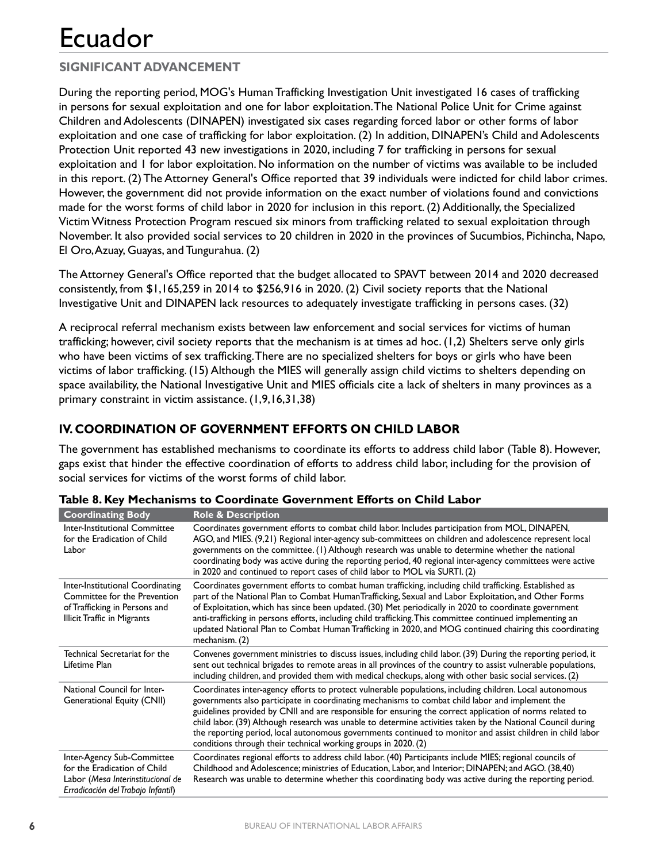## **SIGNIFICANT ADVANCEMENT**

During the reporting period, MOG's Human Trafficking Investigation Unit investigated 16 cases of trafficking in persons for sexual exploitation and one for labor exploitation. The National Police Unit for Crime against Children and Adolescents (DINAPEN) investigated six cases regarding forced labor or other forms of labor exploitation and one case of trafficking for labor exploitation. (2) In addition, DINAPEN's Child and Adolescents Protection Unit reported 43 new investigations in 2020, including 7 for trafficking in persons for sexual exploitation and 1 for labor exploitation. No information on the number of victims was available to be included in this report. (2) The Attorney General's Office reported that 39 individuals were indicted for child labor crimes. However, the government did not provide information on the exact number of violations found and convictions made for the worst forms of child labor in 2020 for inclusion in this report. (2) Additionally, the Specialized Victim Witness Protection Program rescued six minors from trafficking related to sexual exploitation through November. It also provided social services to 20 children in 2020 in the provinces of Sucumbios, Pichincha, Napo, El Oro, Azuay, Guayas, and Tungurahua. (2)

The Attorney General's Office reported that the budget allocated to SPAVT between 2014 and 2020 decreased consistently, from \$1,165,259 in 2014 to \$256,916 in 2020. (2) Civil society reports that the National Investigative Unit and DINAPEN lack resources to adequately investigate trafficking in persons cases. (32)

A reciprocal referral mechanism exists between law enforcement and social services for victims of human trafficking; however, civil society reports that the mechanism is at times ad hoc. (1,2) Shelters serve only girls who have been victims of sex trafficking. There are no specialized shelters for boys or girls who have been victims of labor trafficking. (15) Although the MIES will generally assign child victims to shelters depending on space availability, the National Investigative Unit and MIES officials cite a lack of shelters in many provinces as a primary constraint in victim assistance. (1,9,16,31,38)

## **IV. COORDINATION OF GOVERNMENT EFFORTS ON CHILD LABOR**

The government has established mechanisms to coordinate its efforts to address child labor (Table 8). However, gaps exist that hinder the effective coordination of efforts to address child labor, including for the provision of social services for victims of the worst forms of child labor.

| <b>Coordinating Body</b>                                                                                                                | <b>Role &amp; Description</b>                                                                                                                                                                                                                                                                                                                                                                                                                                                                                                                                                                                          |
|-----------------------------------------------------------------------------------------------------------------------------------------|------------------------------------------------------------------------------------------------------------------------------------------------------------------------------------------------------------------------------------------------------------------------------------------------------------------------------------------------------------------------------------------------------------------------------------------------------------------------------------------------------------------------------------------------------------------------------------------------------------------------|
| Inter-Institutional Committee<br>for the Eradication of Child<br>Labor                                                                  | Coordinates government efforts to combat child labor. Includes participation from MOL, DINAPEN,<br>AGO, and MIES. (9,21) Regional inter-agency sub-committees on children and adolescence represent local<br>governments on the committee. (1) Although research was unable to determine whether the national<br>coordinating body was active during the reporting period, 40 regional inter-agency committees were active<br>in 2020 and continued to report cases of child labor to MOL via SURTI. (2)                                                                                                               |
| Inter-Institutional Coordinating<br>Committee for the Prevention<br>of Trafficking in Persons and<br><b>Illicit Traffic in Migrants</b> | Coordinates government efforts to combat human trafficking, including child trafficking. Established as<br>part of the National Plan to Combat HumanTrafficking, Sexual and Labor Exploitation, and Other Forms<br>of Exploitation, which has since been updated. (30) Met periodically in 2020 to coordinate government<br>anti-trafficking in persons efforts, including child trafficking. This committee continued implementing an<br>updated National Plan to Combat Human Trafficking in 2020, and MOG continued chairing this coordinating<br>mechanism. (2)                                                    |
| Technical Secretariat for the<br>Lifetime Plan                                                                                          | Convenes government ministries to discuss issues, including child labor. (39) During the reporting period, it<br>sent out technical brigades to remote areas in all provinces of the country to assist vulnerable populations,<br>including children, and provided them with medical checkups, along with other basic social services. (2)                                                                                                                                                                                                                                                                             |
| National Council for Inter-<br><b>Generational Equity (CNII)</b>                                                                        | Coordinates inter-agency efforts to protect vulnerable populations, including children. Local autonomous<br>governments also participate in coordinating mechanisms to combat child labor and implement the<br>guidelines provided by CNII and are responsible for ensuring the correct application of norms related to<br>child labor. (39) Although research was unable to determine activities taken by the National Council during<br>the reporting period, local autonomous governments continued to monitor and assist children in child labor<br>conditions through their technical working groups in 2020. (2) |
| Inter-Agency Sub-Committee<br>for the Eradication of Child<br>Labor (Mesa Interinstitucional de<br>Erradicación del Trabajo Infantil)   | Coordinates regional efforts to address child labor. (40) Participants include MIES; regional councils of<br>Childhood and Adolescence; ministries of Education, Labor, and Interior; DINAPEN; and AGO. (38,40)<br>Research was unable to determine whether this coordinating body was active during the reporting period.                                                                                                                                                                                                                                                                                             |

|  |  | Table 8. Key Mechanisms to Coordinate Government Efforts on Child Labor |
|--|--|-------------------------------------------------------------------------|
|--|--|-------------------------------------------------------------------------|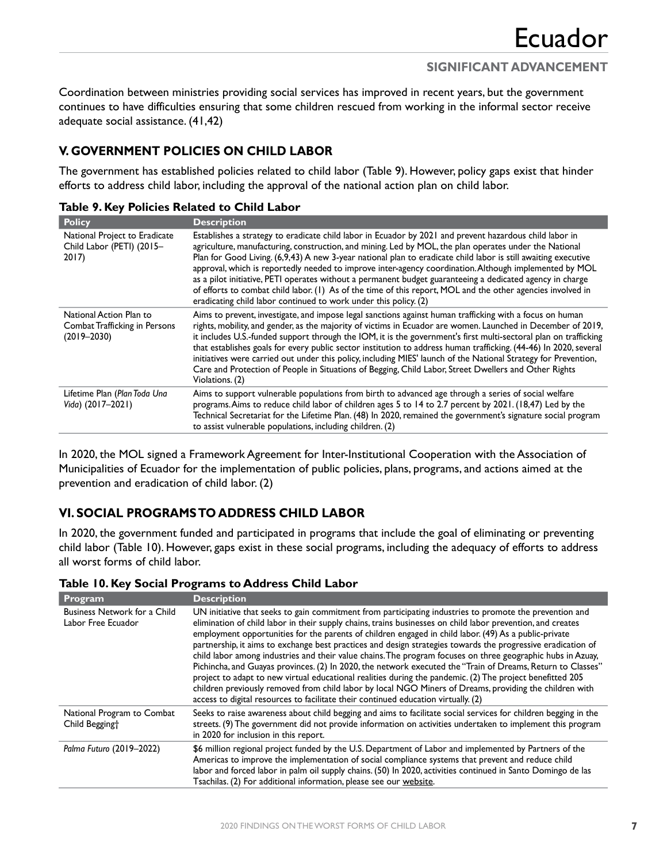Coordination between ministries providing social services has improved in recent years, but the government continues to have difficulties ensuring that some children rescued from working in the informal sector receive adequate social assistance. (41,42)

## **V. GOVERNMENT POLICIES ON CHILD LABOR**

The government has established policies related to child labor (Table 9). However, policy gaps exist that hinder efforts to address child labor, including the approval of the national action plan on child labor.

| <b>Policy</b>                                                               | <b>Description</b>                                                                                                                                                                                                                                                                                                                                                                                                                                                                                                                                                                                                                                                                                                                            |
|-----------------------------------------------------------------------------|-----------------------------------------------------------------------------------------------------------------------------------------------------------------------------------------------------------------------------------------------------------------------------------------------------------------------------------------------------------------------------------------------------------------------------------------------------------------------------------------------------------------------------------------------------------------------------------------------------------------------------------------------------------------------------------------------------------------------------------------------|
| National Project to Eradicate<br>Child Labor (PETI) (2015-<br>2017)         | Establishes a strategy to eradicate child labor in Ecuador by 2021 and prevent hazardous child labor in<br>agriculture, manufacturing, construction, and mining. Led by MOL, the plan operates under the National<br>Plan for Good Living. (6,9,43) A new 3-year national plan to eradicate child labor is still awaiting executive<br>approval, which is reportedly needed to improve inter-agency coordination. Although implemented by MOL<br>as a pilot initiative, PETI operates without a permanent budget guaranteeing a dedicated agency in charge<br>of efforts to combat child labor. (1) As of the time of this report, MOL and the other agencies involved in<br>eradicating child labor continued to work under this policy. (2) |
| National Action Plan to<br>Combat Trafficking in Persons<br>$(2019 - 2030)$ | Aims to prevent, investigate, and impose legal sanctions against human trafficking with a focus on human<br>rights, mobility, and gender, as the majority of victims in Ecuador are women. Launched in December of 2019,<br>it includes U.S.-funded support through the IOM, it is the government's first multi-sectoral plan on trafficking<br>that establishes goals for every public sector institution to address human trafficking. (44-46) In 2020, several<br>initiatives were carried out under this policy, including MIES' launch of the National Strategy for Prevention,<br>Care and Protection of People in Situations of Begging, Child Labor, Street Dwellers and Other Rights<br>Violations. (2)                              |
| Lifetime Plan (Plan Toda Una<br>Vida) (2017-2021)                           | Aims to support vulnerable populations from birth to advanced age through a series of social welfare<br>programs. Aims to reduce child labor of children ages 5 to 14 to 2.7 percent by 2021. (18,47) Led by the<br>Technical Secretariat for the Lifetime Plan. (48) In 2020, remained the government's signature social program<br>to assist vulnerable populations, including children. (2)                                                                                                                                                                                                                                                                                                                                                |

#### **Table 9. Key Policies Related to Child Labor**

In 2020, the MOL signed a Framework Agreement for Inter-Institutional Cooperation with the Association of Municipalities of Ecuador for the implementation of public policies, plans, programs, and actions aimed at the prevention and eradication of child labor. (2)

## **VI. SOCIAL PROGRAMS TO ADDRESS CHILD LABOR**

In 2020, the government funded and participated in programs that include the goal of eliminating or preventing child labor (Table 10). However, gaps exist in these social programs, including the adequacy of efforts to address all worst forms of child labor.

| <b>Program</b>                                     | <b>Description</b>                                                                                                                                 |  |  |  |
|----------------------------------------------------|----------------------------------------------------------------------------------------------------------------------------------------------------|--|--|--|
| Business Network for a Child<br>Labor Free Ecuador | UN initiative that seeks to gain commitment from participating indust<br>elimination of child labor in their supply chains, trains businesses on c |  |  |  |
|                                                    | employment opportunities for the parents of children engaged in child                                                                              |  |  |  |

### **Table 10. Key Social Programs to Address Child Labor**

| <b>Frogram</b>                                           | <b>Description</b>                                                                                                                                                                                                                                                                                                                                                                                                                                                                                                                                                                                                                                                                                                                                                                                                                                                                                                                                                                          |
|----------------------------------------------------------|---------------------------------------------------------------------------------------------------------------------------------------------------------------------------------------------------------------------------------------------------------------------------------------------------------------------------------------------------------------------------------------------------------------------------------------------------------------------------------------------------------------------------------------------------------------------------------------------------------------------------------------------------------------------------------------------------------------------------------------------------------------------------------------------------------------------------------------------------------------------------------------------------------------------------------------------------------------------------------------------|
| Business Network for a Child<br>Labor Free Ecuador       | UN initiative that seeks to gain commitment from participating industries to promote the prevention and<br>elimination of child labor in their supply chains, trains businesses on child labor prevention, and creates<br>employment opportunities for the parents of children engaged in child labor. (49) As a public-private<br>partnership, it aims to exchange best practices and design strategies towards the progressive eradication of<br>child labor among industries and their value chains. The program focuses on three geographic hubs in Azuay,<br>Pichincha, and Guayas provinces. (2) In 2020, the network executed the "Train of Dreams, Return to Classes"<br>project to adapt to new virtual educational realities during the pandemic. (2) The project benefitted 205<br>children previously removed from child labor by local NGO Miners of Dreams, providing the children with<br>access to digital resources to facilitate their continued education virtually. (2) |
| National Program to Combat<br>Child Begging <sup>+</sup> | Seeks to raise awareness about child begging and aims to facilitate social services for children begging in the<br>streets. (9) The government did not provide information on activities undertaken to implement this program<br>in 2020 for inclusion in this report.                                                                                                                                                                                                                                                                                                                                                                                                                                                                                                                                                                                                                                                                                                                      |
| Palma Futuro (2019-2022)                                 | \$6 million regional project funded by the U.S. Department of Labor and implemented by Partners of the<br>Americas to improve the implementation of social compliance systems that prevent and reduce child<br>labor and forced labor in palm oil supply chains. (50) In 2020, activities continued in Santo Domingo de las<br>Tsachilas. (2) For additional information, please see our website.                                                                                                                                                                                                                                                                                                                                                                                                                                                                                                                                                                                           |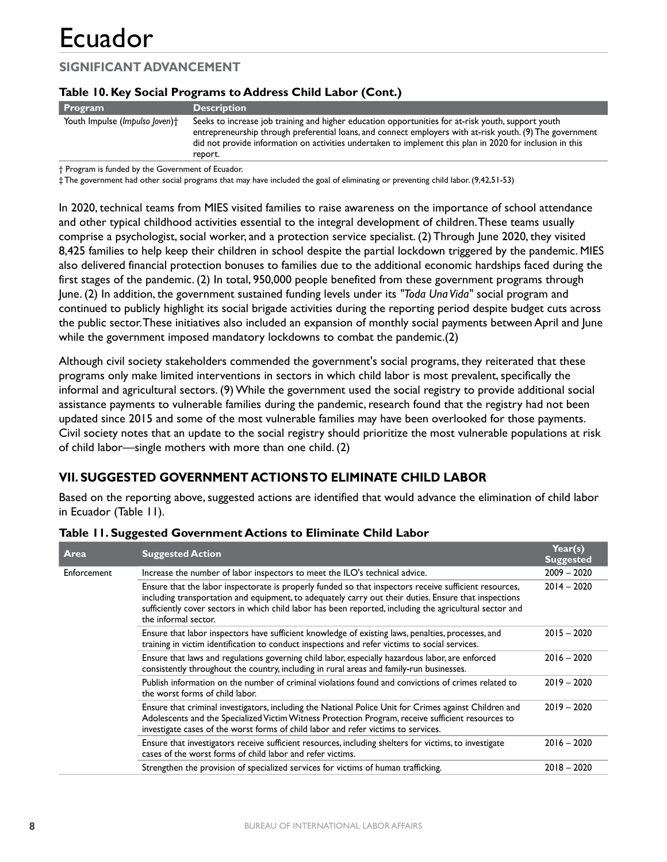## **SIGNIFICANT ADVANCEMENT**

### **Table 10. Key Social Programs to Address Child Labor (Cont.)**

| <b>Program</b>                 | <b>Description</b>                                                                                                                                                                                                                                                                                                                      |
|--------------------------------|-----------------------------------------------------------------------------------------------------------------------------------------------------------------------------------------------------------------------------------------------------------------------------------------------------------------------------------------|
| Youth Impulse (Impulso Joven)+ | Seeks to increase job training and higher education opportunities for at-risk youth, support youth<br>entrepreneurship through preferential loans, and connect employers with at-risk youth. (9) The government<br>did not provide information on activities undertaken to implement this plan in 2020 for inclusion in this<br>report. |

† Program is funded by the Government of Ecuador.

‡ The government had other social programs that may have included the goal of eliminating or preventing child labor. (9,42,51-53)

In 2020, technical teams from MIES visited families to raise awareness on the importance of school attendance and other typical childhood activities essential to the integral development of children. These teams usually comprise a psychologist, social worker, and a protection service specialist. (2) Through June 2020, they visited 8,425 families to help keep their children in school despite the partial lockdown triggered by the pandemic. MIES also delivered financial protection bonuses to families due to the additional economic hardships faced during the first stages of the pandemic. (2) In total, 950,000 people benefited from these government programs through June. (2) In addition, the government sustained funding levels under its *"Toda Una Vida"* social program and continued to publicly highlight its social brigade activities during the reporting period despite budget cuts across the public sector. These initiatives also included an expansion of monthly social payments between April and June while the government imposed mandatory lockdowns to combat the pandemic.(2)

Although civil society stakeholders commended the government's social programs, they reiterated that these programs only make limited interventions in sectors in which child labor is most prevalent, specifically the informal and agricultural sectors. (9) While the government used the social registry to provide additional social assistance payments to vulnerable families during the pandemic, research found that the registry had not been updated since 2015 and some of the most vulnerable families may have been overlooked for those payments. Civil society notes that an update to the social registry should prioritize the most vulnerable populations at risk of child labor—single mothers with more than one child. (2)

### **VII. SUGGESTED GOVERNMENT ACTIONS TO ELIMINATE CHILD LABOR**

Based on the reporting above, suggested actions are identified that would advance the elimination of child labor in Ecuador (Table 11).

| Area        | <b>Suggested Action</b>                                                                                                                                                                                                                                                                                                                             | Year(s)<br><b>Suggested</b> |
|-------------|-----------------------------------------------------------------------------------------------------------------------------------------------------------------------------------------------------------------------------------------------------------------------------------------------------------------------------------------------------|-----------------------------|
| Enforcement | Increase the number of labor inspectors to meet the ILO's technical advice.                                                                                                                                                                                                                                                                         | $2009 - 2020$               |
|             | Ensure that the labor inspectorate is properly funded so that inspectors receive sufficient resources,<br>including transportation and equipment, to adequately carry out their duties. Ensure that inspections<br>sufficiently cover sectors in which child labor has been reported, including the agricultural sector and<br>the informal sector. | $2014 - 2020$               |
|             | Ensure that labor inspectors have sufficient knowledge of existing laws, penalties, processes, and<br>training in victim identification to conduct inspections and refer victims to social services.                                                                                                                                                | $2015 - 2020$               |
|             | Ensure that laws and regulations governing child labor, especially hazardous labor, are enforced<br>consistently throughout the country, including in rural areas and family-run businesses.                                                                                                                                                        | $2016 - 2020$               |
|             | Publish information on the number of criminal violations found and convictions of crimes related to<br>the worst forms of child labor.                                                                                                                                                                                                              | $2019 - 2020$               |
|             | Ensure that criminal investigators, including the National Police Unit for Crimes against Children and<br>Adolescents and the Specialized Victim Witness Protection Program, receive sufficient resources to<br>investigate cases of the worst forms of child labor and refer victims to services.                                                  | $2019 - 2020$               |
|             | Ensure that investigators receive sufficient resources, including shelters for victims, to investigate<br>cases of the worst forms of child labor and refer victims.                                                                                                                                                                                | $2016 - 2020$               |
|             | Strengthen the provision of specialized services for victims of human trafficking.                                                                                                                                                                                                                                                                  | $2018 - 2020$               |

#### **Table 11. Suggested Government Actions to Eliminate Child Labor**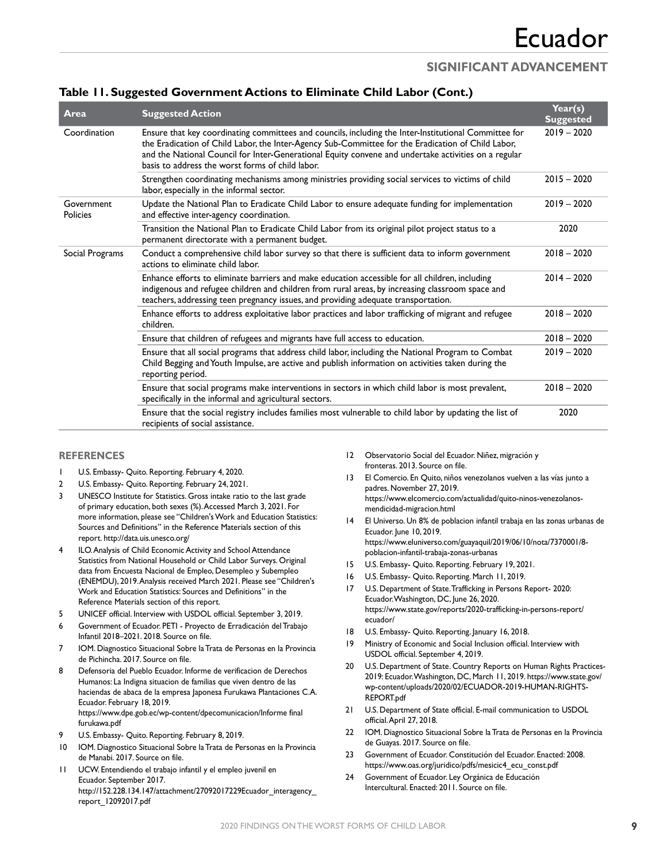### **SIGNIFICANT ADVANCEMENT**

| . .                    |                                                                                                                                                                                                                                                                                                                                                                         |                             |
|------------------------|-------------------------------------------------------------------------------------------------------------------------------------------------------------------------------------------------------------------------------------------------------------------------------------------------------------------------------------------------------------------------|-----------------------------|
| Area                   | <b>Suggested Action</b>                                                                                                                                                                                                                                                                                                                                                 | Year(s)<br><b>Suggested</b> |
| Coordination           | Ensure that key coordinating committees and councils, including the Inter-Institutional Committee for<br>the Eradication of Child Labor, the Inter-Agency Sub-Committee for the Eradication of Child Labor,<br>and the National Council for Inter-Generational Equity convene and undertake activities on a regular<br>basis to address the worst forms of child labor. | $2019 - 2020$               |
|                        | Strengthen coordinating mechanisms among ministries providing social services to victims of child<br>labor, especially in the informal sector.                                                                                                                                                                                                                          | $2015 - 2020$               |
| Government<br>Policies | Update the National Plan to Eradicate Child Labor to ensure adequate funding for implementation<br>and effective inter-agency coordination.                                                                                                                                                                                                                             | $2019 - 2020$               |
|                        | Transition the National Plan to Eradicate Child Labor from its original pilot project status to a<br>permanent directorate with a permanent budget.                                                                                                                                                                                                                     | 2020                        |
| Social Programs        | Conduct a comprehensive child labor survey so that there is sufficient data to inform government<br>actions to eliminate child labor.                                                                                                                                                                                                                                   | $2018 - 2020$               |
|                        | Enhance efforts to eliminate barriers and make education accessible for all children, including<br>indigenous and refugee children and children from rural areas, by increasing classroom space and<br>teachers, addressing teen pregnancy issues, and providing adequate transportation.                                                                               | $2014 - 2020$               |
|                        | Enhance efforts to address exploitative labor practices and labor trafficking of migrant and refugee<br>children.                                                                                                                                                                                                                                                       | $2018 - 2020$               |
|                        | Ensure that children of refugees and migrants have full access to education.                                                                                                                                                                                                                                                                                            | $2018 - 2020$               |
|                        | Ensure that all social programs that address child labor, including the National Program to Combat<br>Child Begging and Youth Impulse, are active and publish information on activities taken during the<br>reporting period.                                                                                                                                           | $2019 - 2020$               |
|                        | Ensure that social programs make interventions in sectors in which child labor is most prevalent,<br>specifically in the informal and agricultural sectors.                                                                                                                                                                                                             | $2018 - 2020$               |
|                        | Ensure that the social registry includes families most vulnerable to child labor by updating the list of<br>recipients of social assistance.                                                                                                                                                                                                                            | 2020                        |

### **Table 11. Suggested Government Actions to Eliminate Child Labor (Cont.)**

#### **REFERENCES**

- 1 U.S. Embassy- Quito. Reporting. February 4, 2020.
- 2 U.S. Embassy- Quito. Reporting. February 24, 2021.
- 3 UNESCO Institute for Statistics. Gross intake ratio to the last grade of primary education, both sexes (%). Accessed March 3, 2021. For more information, please see "Children's Work and Education Statistics: Sources and Definitions" in the Reference Materials section of this report.<http://data.uis.unesco.org/>
- 4 ILO. Analysis of Child Economic Activity and School Attendance Statistics from National Household or Child Labor Surveys. Original data from Encuesta Nacional de Empleo, Desempleo y Subempleo (ENEMDU), 2019. Analysis received March 2021. Please see "Children's Work and Education Statistics: Sources and Definitions" in the Reference Materials section of this report.
- 5 UNICEF official. Interview with USDOL official. September 3, 2019.
- 6 Government of Ecuador. PETI Proyecto de Erradicación del Trabajo Infantil 2018–2021. 2018. Source on file.
- 7 IOM. Diagnostico Situacional Sobre la Trata de Personas en la Provincia de Pichincha. 2017. Source on file.
- 8 Defensoria del Pueblo Ecuador. Informe de verificacion de Derechos Humanos: La Indigna situacion de familias que viven dentro de las haciendas de abaca de la empresa Japonesa Furukawa Plantaciones C.A. Ecuador. February 18, 2019. [https://www.dpe.gob.ec/wp-content/dpecomunicacion/Informe final](https://www.dpe.gob.ec/wp-content/dpecomunicacion/Informe%20final%20furukawa.pdf)  [furukawa.pdf](https://www.dpe.gob.ec/wp-content/dpecomunicacion/Informe%20final%20furukawa.pdf)
- U.S. Embassy- Quito. Reporting. February 8, 2019.
- 10 IOM. Diagnostico Situacional Sobre la Trata de Personas en la Provincia de Manabi. 2017. Source on file.
- 11 UCW. Entendiendo el trabajo infantil y el empleo juvenil en Ecuador. September 2017. http://152.228.134.147/attachment/27092017229Ecuador\_interagency [report\\_12092017.pdf](http://152.228.134.147/attachment/27092017229Ecuador_interagency_report_12092017.pdf)
- 12 Observatorio Social del Ecuador. Niñez, migración y fronteras. 2013. Source on file.
- 13 El Comercio. En Quito, niños venezolanos vuelven a las vías junto a padres. November 27, 2019. [https://www.elcomercio.com/actualidad/quito-ninos-venezolanos](https://www.elcomercio.com/actualidad/quito-ninos-venezolanos-mendicidad-migracion.html)[mendicidad-migracion.html](https://www.elcomercio.com/actualidad/quito-ninos-venezolanos-mendicidad-migracion.html)
- 14 El Universo. Un 8% de poblacion infantil trabaja en las zonas urbanas de Ecuador. June 10, 2019. [https://www.eluniverso.com/guayaquil/2019/06/10/nota/7370001/8](https://www.eluniverso.com/guayaquil/2019/06/10/nota/7370001/8-poblacion-infantil-trabaja-zonas-urbanas) [poblacion-infantil-trabaja-zonas-urbanas](https://www.eluniverso.com/guayaquil/2019/06/10/nota/7370001/8-poblacion-infantil-trabaja-zonas-urbanas)
- 15 U.S. Embassy- Quito. Reporting. February 19, 2021.
- 16 U.S. Embassy- Quito. Reporting. March 11, 2019.
- 17 U.S. Department of State. Trafficking in Persons Report- 2020: Ecuador. Washington, DC, June 26, 2020. [https://www.state.gov/reports/2020-trafficking-in-persons-report/](https://www.state.gov/reports/2020-trafficking-in-persons-report/ecuador/) [ecuador/](https://www.state.gov/reports/2020-trafficking-in-persons-report/ecuador/)
- 18 U.S. Embassy- Quito. Reporting. January 16, 2018.
- 19 Ministry of Economic and Social Inclusion official. Interview with USDOL official. September 4, 2019.
- 20 U.S. Department of State. Country Reports on Human Rights Practices-2019: Ecuador. Washington, DC, March 11, 2019. [https://www.state.gov/](https://www.state.gov/wp-content/uploads/2020/02/ECUADOR-2019-HUMAN-RIGHTS-REPORT.pdf) [wp-content/uploads/2020/02/ECUADOR-2019-HUMAN-RIGHTS-](https://www.state.gov/wp-content/uploads/2020/02/ECUADOR-2019-HUMAN-RIGHTS-REPORT.pdf)[REPORT.pdf](https://www.state.gov/wp-content/uploads/2020/02/ECUADOR-2019-HUMAN-RIGHTS-REPORT.pdf)
- 21 U.S. Department of State official. E-mail communication to USDOL official. April 27, 2018.
- 22 IOM. Diagnostico Situacional Sobre la Trata de Personas en la Provincia de Guayas. 2017. Source on file.
- 23 Government of Ecuador. Constitución del Ecuador. Enacted: 2008. [https://www.oas.org/juridico/pdfs/mesicic4\\_ecu\\_const.pdf](https://www.oas.org/juridico/pdfs/mesicic4_ecu_const.pdf)
- 24 Government of Ecuador. Ley Orgánica de Educación Intercultural. Enacted: 2011. Source on file.